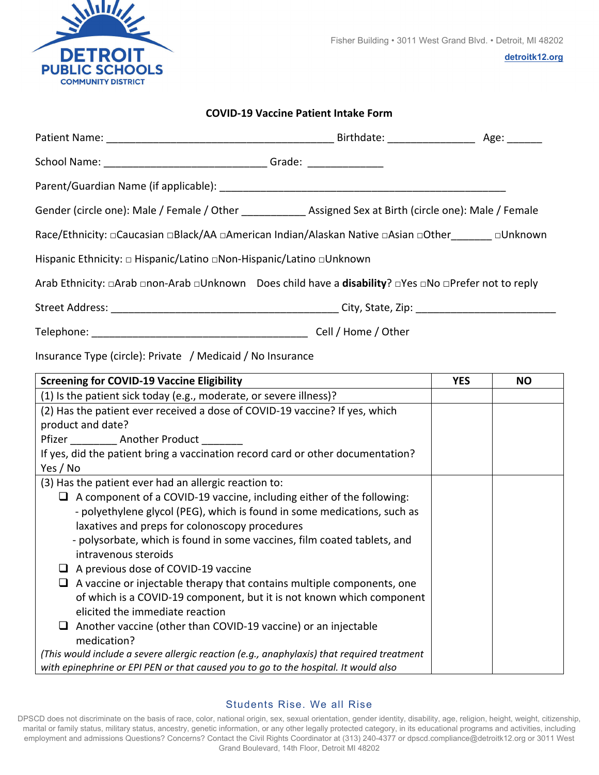

## **COVID‐19 Vaccine Patient Intake Form**

| School Name: __________________________________Grade: __________________________                                                                         |                                                                       |            |           |
|----------------------------------------------------------------------------------------------------------------------------------------------------------|-----------------------------------------------------------------------|------------|-----------|
|                                                                                                                                                          |                                                                       |            |           |
| Gender (circle one): Male / Female / Other _____________ Assigned Sex at Birth (circle one): Male / Female                                               |                                                                       |            |           |
| Race/Ethnicity: □Caucasian □Black/AA □American Indian/Alaskan Native □Asian □Other_______ □Unknown                                                       |                                                                       |            |           |
| Hispanic Ethnicity: □ Hispanic/Latino □Non-Hispanic/Latino □Unknown                                                                                      |                                                                       |            |           |
| Arab Ethnicity: □Arab □non-Arab □Unknown Does child have a disability? □Yes □No □Prefer not to reply                                                     |                                                                       |            |           |
|                                                                                                                                                          |                                                                       |            |           |
|                                                                                                                                                          |                                                                       |            |           |
| <b>Screening for COVID-19 Vaccine Eligibility</b>                                                                                                        |                                                                       | <b>YES</b> | <b>NO</b> |
| (1) Is the patient sick today (e.g., moderate, or severe illness)?                                                                                       |                                                                       |            |           |
| (2) Has the patient ever received a dose of COVID-19 vaccine? If yes, which                                                                              |                                                                       |            |           |
| product and date?                                                                                                                                        |                                                                       |            |           |
| Pfizer Another Product                                                                                                                                   |                                                                       |            |           |
| If yes, did the patient bring a vaccination record card or other documentation?                                                                          |                                                                       |            |           |
| Yes / No                                                                                                                                                 |                                                                       |            |           |
| (3) Has the patient ever had an allergic reaction to:                                                                                                    |                                                                       |            |           |
| $\Box$ A component of a COVID-19 vaccine, including either of the following:<br>- polyethylene glycol (PEG), which is found in some medications, such as |                                                                       |            |           |
| laxatives and preps for colonoscopy procedures                                                                                                           |                                                                       |            |           |
| - polysorbate, which is found in some vaccines, film coated tablets, and                                                                                 |                                                                       |            |           |
| intravenous steroids                                                                                                                                     |                                                                       |            |           |
| $\Box$ A previous dose of COVID-19 vaccine                                                                                                               |                                                                       |            |           |
| $\Box$ A vaccine or injectable therapy that contains multiple components, one                                                                            |                                                                       |            |           |
| elicited the immediate reaction                                                                                                                          | of which is a COVID-19 component, but it is not known which component |            |           |
| Another vaccine (other than COVID-19 vaccine) or an injectable                                                                                           |                                                                       |            |           |
| medication?                                                                                                                                              |                                                                       |            |           |
| (This would include a severe allergic reaction (e.g., anaphylaxis) that required treatment                                                               |                                                                       |            |           |

*with epinephrine or EPI PEN or that caused you to go to the hospital. It would also* 

## Students Rise. We all Rise

DPSCD does not discriminate on the basis of race, color, national origin, sex, sexual orientation, gender identity, disability, age, religion, height, weight, citizenship, marital or family status, military status, ancestry, genetic information, or any other legally protected category, in its educational programs and activities, including employment and admissions Questions? Concerns? Contact the Civil Rights Coordinator at (313) 240-4377 or dpscd.compliance@detroitk12.org or 3011 West Grand Boulevard, 14th Floor, Detroit MI 48202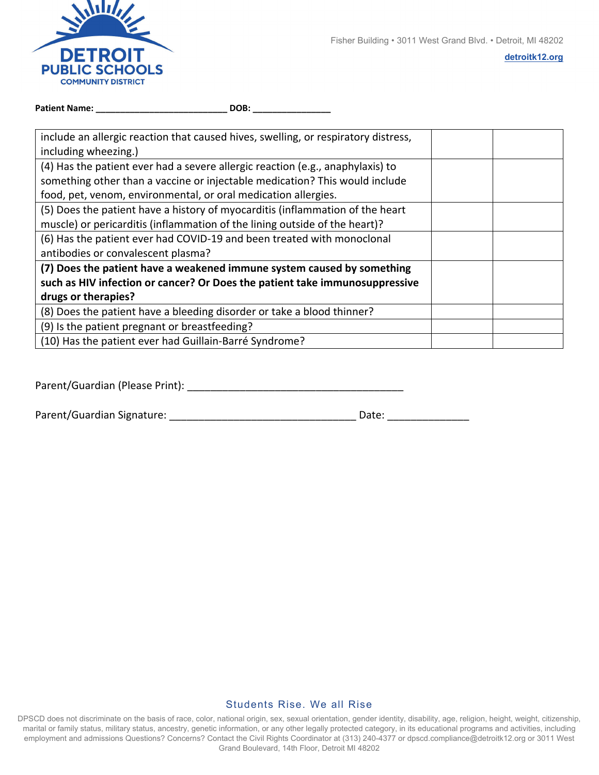

**detroitk12.org**

| <b>Patient Name:</b> | DOB: |  |
|----------------------|------|--|
|                      |      |  |

| include an allergic reaction that caused hives, swelling, or respiratory distress,<br>including wheezing.) |  |  |
|------------------------------------------------------------------------------------------------------------|--|--|
| (4) Has the patient ever had a severe allergic reaction (e.g., anaphylaxis) to                             |  |  |
| something other than a vaccine or injectable medication? This would include                                |  |  |
| food, pet, venom, environmental, or oral medication allergies.                                             |  |  |
| (5) Does the patient have a history of myocarditis (inflammation of the heart                              |  |  |
| muscle) or pericarditis (inflammation of the lining outside of the heart)?                                 |  |  |
| (6) Has the patient ever had COVID-19 and been treated with monoclonal                                     |  |  |
| antibodies or convalescent plasma?                                                                         |  |  |
| (7) Does the patient have a weakened immune system caused by something                                     |  |  |
| such as HIV infection or cancer? Or Does the patient take immunosuppressive                                |  |  |
| drugs or therapies?                                                                                        |  |  |
| (8) Does the patient have a bleeding disorder or take a blood thinner?                                     |  |  |
| (9) Is the patient pregnant or breastfeeding?                                                              |  |  |
| (10) Has the patient ever had Guillain-Barré Syndrome?                                                     |  |  |

Parent/Guardian (Please Print): \_\_\_\_\_\_\_\_\_\_\_\_\_\_\_\_\_\_\_\_\_\_\_\_\_\_\_\_\_\_\_\_\_\_\_\_\_

| Parent/Guardian Signature: | Date: |  |
|----------------------------|-------|--|
|                            |       |  |

## Students Rise. We all Rise

DPSCD does not discriminate on the basis of race, color, national origin, sex, sexual orientation, gender identity, disability, age, religion, height, weight, citizenship, marital or family status, military status, ancestry, genetic information, or any other legally protected category, in its educational programs and activities, including employment and admissions Questions? Concerns? Contact the Civil Rights Coordinator at (313) 240-4377 or dpscd.compliance@detroitk12.org or 3011 West Grand Boulevard, 14th Floor, Detroit MI 48202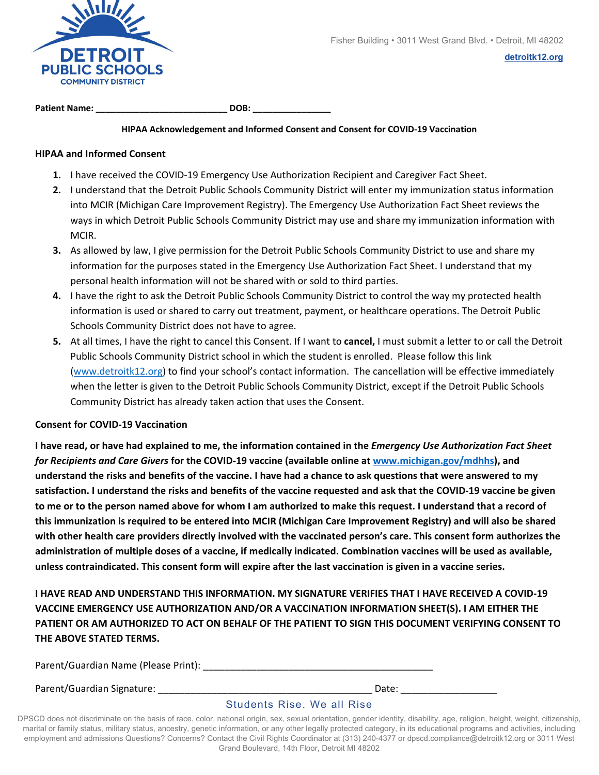

**Patient Name: \_\_\_\_\_\_\_\_\_\_\_\_\_\_\_\_\_\_\_\_\_\_\_\_\_\_\_ DOB: \_\_\_\_\_\_\_\_\_\_\_\_\_\_\_\_**

#### **HIPAA Acknowledgement and Informed Consent and Consent for COVID‐19 Vaccination**

## **HIPAA and Informed Consent**

- 1. I have received the COVID-19 Emergency Use Authorization Recipient and Caregiver Fact Sheet.
- **2.** I understand that the Detroit Public Schools Community District will enter my immunization status information into MCIR (Michigan Care Improvement Registry). The Emergency Use Authorization Fact Sheet reviews the ways in which Detroit Public Schools Community District may use and share my immunization information with MCIR.
- **3.** As allowed by law, I give permission for the Detroit Public Schools Community District to use and share my information for the purposes stated in the Emergency Use Authorization Fact Sheet. I understand that my personal health information will not be shared with or sold to third parties.
- **4.** I have the right to ask the Detroit Public Schools Community District to control the way my protected health information is used or shared to carry out treatment, payment, or healthcare operations. The Detroit Public Schools Community District does not have to agree.
- **5.** At all times, I have the right to cancel this Consent. If I want to **cancel,** I must submit a letter to or call the Detroit Public Schools Community District school in which the student is enrolled. Please follow this link (www.detroitk12.org) to find your school's contact information. The cancellation will be effective immediately when the letter is given to the Detroit Public Schools Community District, except if the Detroit Public Schools Community District has already taken action that uses the Consent.

## **Consent for COVID‐19 Vaccination**

I have read, or have had explained to me, the information contained in the Emergency Use Authorization Fact Sheet *for Recipients and Care Givers* **for the COVID‐19 vaccine (available online at www.michigan.gov/mdhhs), and** understand the risks and benefits of the vaccine. I have had a chance to ask questions that were answered to my satisfaction. I understand the risks and benefits of the vaccine requested and ask that the COVID-19 vaccine be given to me or to the person named above for whom I am authorized to make this request. I understand that a record of this immunization is required to be entered into MCIR (Michigan Care Improvement Registry) and will also be shared with other health care providers directly involved with the vaccinated person's care. This consent form authorizes the administration of multiple doses of a vaccine, if medically indicated. Combination vaccines will be used as available, unless contraindicated. This consent form will expire after the last vaccination is given in a vaccine series.

**I HAVE READ AND UNDERSTAND THIS INFORMATION. MY SIGNATURE VERIFIES THAT I HAVE RECEIVED A COVID‐19 VACCINE EMERGENCY USE AUTHORIZATION AND/OR A VACCINATION INFORMATION SHEET(S). I AM EITHER THE** PATIENT OR AM AUTHORIZED TO ACT ON BEHALE OF THE PATIENT TO SIGN THIS DOCUMENT VERIEVING CONSENT TO **THE ABOVE STATED TERMS.** 

Parent/Guardian Name (Please Print): \_\_\_\_\_\_\_\_\_\_\_\_\_\_\_\_\_\_\_\_\_\_\_\_\_\_\_\_\_\_\_\_\_\_\_\_\_\_\_\_\_\_\_

Parent/Guardian Signature: \_\_\_\_\_\_\_\_\_\_\_\_\_\_\_\_\_\_\_\_\_\_\_\_\_\_\_\_\_\_\_\_\_\_\_\_\_\_\_\_ Date: \_\_\_\_\_\_\_\_\_\_\_\_\_\_\_\_\_\_

# Students Rise. We all Rise

DPSCD does not discriminate on the basis of race, color, national origin, sex, sexual orientation, gender identity, disability, age, religion, height, weight, citizenship, marital or family status, military status, ancestry, genetic information, or any other legally protected category, in its educational programs and activities, including employment and admissions Questions? Concerns? Contact the Civil Rights Coordinator at (313) 240-4377 or dpscd.compliance@detroitk12.org or 3011 West Grand Boulevard, 14th Floor, Detroit MI 48202